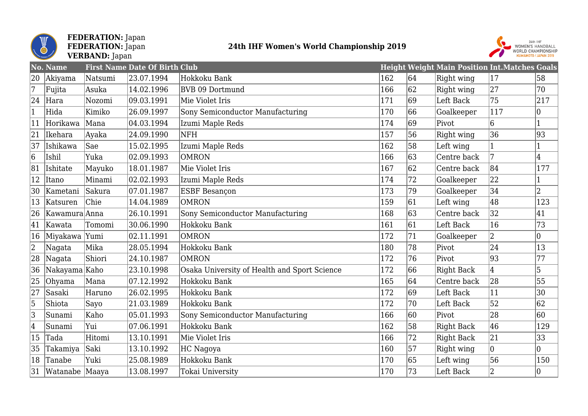

#### **FEDERATION:** Japan **FEDERATION:** Japan **VERBAND:** Japan

### **24th IHF Women's World Championship 2019**



|                | No. Name        |         | <b>First Name Date Of Birth Club</b> |                                              |     |    | <b>Height Weight Main Position Int. Matches Goals</b> |                 |              |
|----------------|-----------------|---------|--------------------------------------|----------------------------------------------|-----|----|-------------------------------------------------------|-----------------|--------------|
| 20             | Akiyama         | Natsumi | 23.07.1994                           | Hokkoku Bank                                 | 162 | 64 | Right wing                                            | 17              | 58           |
| $\overline{7}$ | Fujita          | Asuka   | 14.02.1996                           | BVB 09 Dortmund                              | 166 | 62 | Right wing                                            | 27              | 70           |
| 24             | Hara            | Nozomi  | 09.03.1991                           | Mie Violet Iris                              | 171 | 69 | Left Back                                             | 75              | 217          |
| $\mathbf{1}$   | Hida            | Kimiko  | 26.09.1997                           | Sony Semiconductor Manufacturing             | 170 | 66 | Goalkeeper                                            | 117             | 0            |
| 11             | Horikawa        | Mana    | 04.03.1994                           | Izumi Maple Reds                             | 174 | 69 | Pivot                                                 | $6\overline{6}$ | $\mathbf{1}$ |
| 21             | Ikehara         | Ayaka   | 24.09.1990                           | NFH                                          | 157 | 56 | Right wing                                            | 36              | 93           |
| 37             | Ishikawa        | Sae     | 15.02.1995                           | Izumi Maple Reds                             | 162 | 58 | Left wing                                             |                 |              |
| 6              | Ishil           | Yuka    | 02.09.1993                           | <b>OMRON</b>                                 | 166 | 63 | Centre back                                           | 7               | 4            |
| 81             | Ishitate        | Mayuko  | 18.01.1987                           | Mie Violet Iris                              | 167 | 62 | Centre back                                           | 84              | 177          |
| 12             | Itano           | Minami  | 02.02.1993                           | Izumi Maple Reds                             | 174 | 72 | Goalkeeper                                            | 22              |              |
| 30             | Kametani        | Sakura  | 07.01.1987                           | ESBF Besançon                                | 173 | 79 | Goalkeeper                                            | 34              | 2            |
| 13             | Katsuren        | Chie    | 14.04.1989                           | <b>OMRON</b>                                 | 159 | 61 | Left wing                                             | 48              | 123          |
| 26             | Kawamura Anna   |         | 26.10.1991                           | Sony Semiconductor Manufacturing             | 168 | 63 | Centre back                                           | 32              | 41           |
| 41             | Kawata          | Tomomi  | 30.06.1990                           | Hokkoku Bank                                 | 161 | 61 | Left Back                                             | 16              | 73           |
| 16             | Miyakawa  Yumi  |         | 02.11.1991                           | <b>OMRON</b>                                 | 172 | 71 | Goalkeeper                                            | $ 2\rangle$     | $ 0\rangle$  |
| $\overline{c}$ | Nagata          | Mika    | 28.05.1994                           | Hokkoku Bank                                 | 180 | 78 | Pivot                                                 | 24              | 13           |
| 28             | Nagata          | Shiori  | 24.10.1987                           | <b>OMRON</b>                                 | 172 | 76 | Pivot                                                 | 93              | 77           |
| 36             | Nakayama Kaho   |         | 23.10.1998                           | Osaka University of Health and Sport Science | 172 | 66 | <b>Right Back</b>                                     | 4               | $\vert$ 5    |
| 25             | Ohyama          | Mana    | 07.12.1992                           | Hokkoku Bank                                 | 165 | 64 | Centre back                                           | 28              | 55           |
| 27             | Sasaki          | Haruno  | 26.02.1995                           | Hokkoku Bank                                 | 172 | 69 | Left Back                                             | 11              | 30           |
| 5              | Shiota          | Sayo    | 21.03.1989                           | Hokkoku Bank                                 | 172 | 70 | Left Back                                             | 52              | 62           |
| 3              | Sunami          | Kaho    | 05.01.1993                           | Sony Semiconductor Manufacturing             | 166 | 60 | Pivot                                                 | 28              | 60           |
| $\vert 4$      | Sunami          | Yui     | 07.06.1991                           | Hokkoku Bank                                 | 162 | 58 | <b>Right Back</b>                                     | 46              | 129          |
| 15             | Tada            | Hitomi  | 13.10.1991                           | Mie Violet Iris                              | 166 | 72 | <b>Right Back</b>                                     | 21              | 33           |
| 35             | Takamiya        | Saki    | 13.10.1992                           | HC Nagoya                                    | 160 | 57 | Right wing                                            | $ 0\rangle$     | 0            |
| 18             | Tanabe          | Yuki    | 25.08.1989                           | Hokkoku Bank                                 | 170 | 65 | Left wing                                             | 56              | 150          |
| 31             | Watanabe  Maaya |         | 13.08.1997                           | Tokai University                             | 170 | 73 | Left Back                                             | $ 2\rangle$     | 10           |